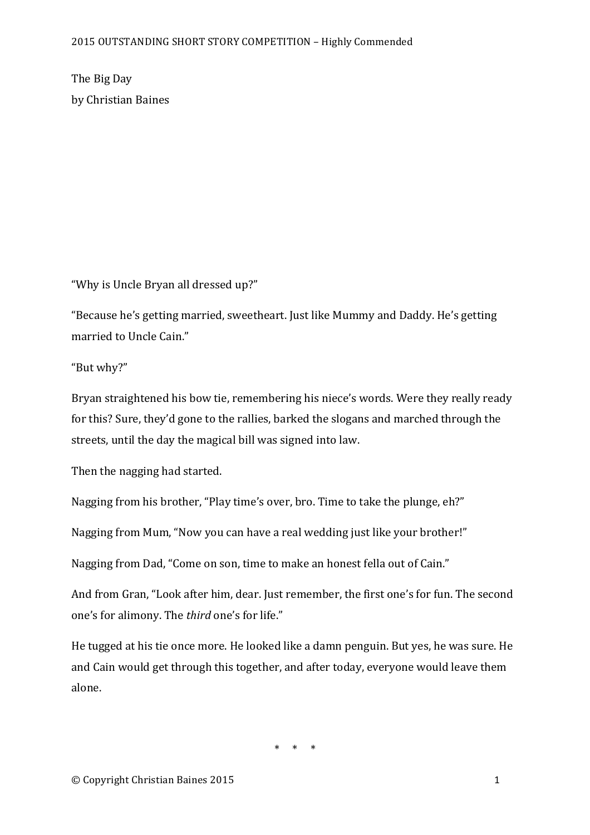The Big Day by Christian Baines

"Why is Uncle Bryan all dressed up?"

"Because he's getting married, sweetheart. Just like Mummy and Daddy. He's getting married to Uncle Cain."

"But why?"

Bryan straightened his bow tie, remembering his niece's words. Were they really ready for this? Sure, they'd gone to the rallies, barked the slogans and marched through the streets, until the day the magical bill was signed into law.

Then the nagging had started.

Nagging from his brother, "Play time's over, bro. Time to take the plunge, eh?"

Nagging from Mum, "Now you can have a real wedding just like your brother!"

Nagging from Dad, "Come on son, time to make an honest fella out of Cain."

And from Gran, "Look after him, dear. Just remember, the first one's for fun. The second one's for alimony. The *third* one's for life."

He tugged at his tie once more. He looked like a damn penguin. But ves, he was sure. He and Cain would get through this together, and after today, everyone would leave them alone.

 $*$   $*$   $*$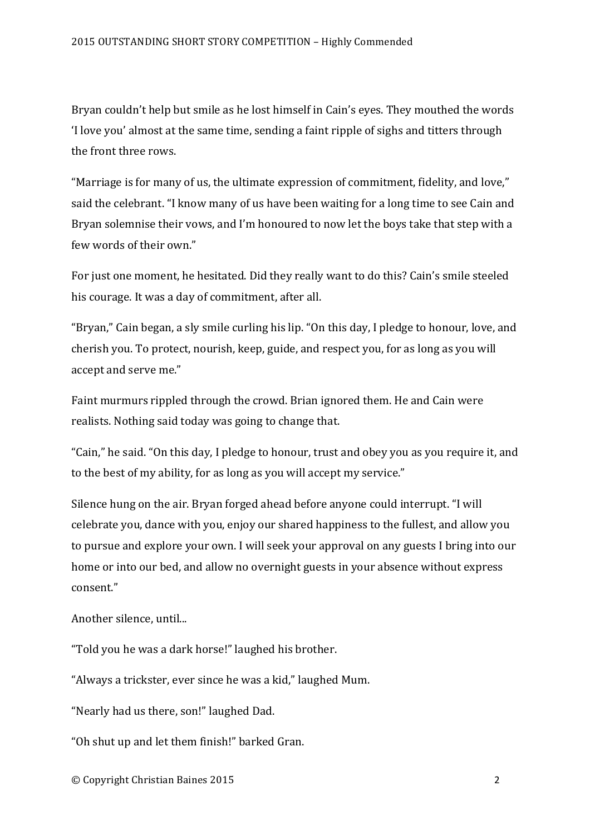Bryan couldn't help but smile as he lost himself in Cain's eyes. They mouthed the words 'I love you' almost at the same time, sending a faint ripple of sighs and titters through the front three rows.

"Marriage is for many of us, the ultimate expression of commitment, fidelity, and love," said the celebrant. "I know many of us have been waiting for a long time to see Cain and Bryan solemnise their vows, and I'm honoured to now let the boys take that step with a few words of their own."

For just one moment, he hesitated. Did they really want to do this? Cain's smile steeled his courage. It was a day of commitment, after all.

"Bryan," Cain began, a sly smile curling his lip. "On this day, I pledge to honour, love, and cherish you. To protect, nourish, keep, guide, and respect you, for as long as you will accept and serve me."

Faint murmurs rippled through the crowd. Brian ignored them. He and Cain were realists. Nothing said today was going to change that.

"Cain," he said. "On this day, I pledge to honour, trust and obey you as you require it, and to the best of my ability, for as long as you will accept my service."

Silence hung on the air. Bryan forged ahead before anyone could interrupt. "I will celebrate you, dance with you, enjoy our shared happiness to the fullest, and allow you to pursue and explore your own. I will seek your approval on any guests I bring into our home or into our bed, and allow no overnight guests in your absence without express consent."

Another silence, until...

"Told you he was a dark horse!" laughed his brother.

"Always a trickster, ever since he was a kid," laughed Mum.

"Nearly had us there, son!" laughed Dad.

"Oh shut up and let them finish!" barked Gran.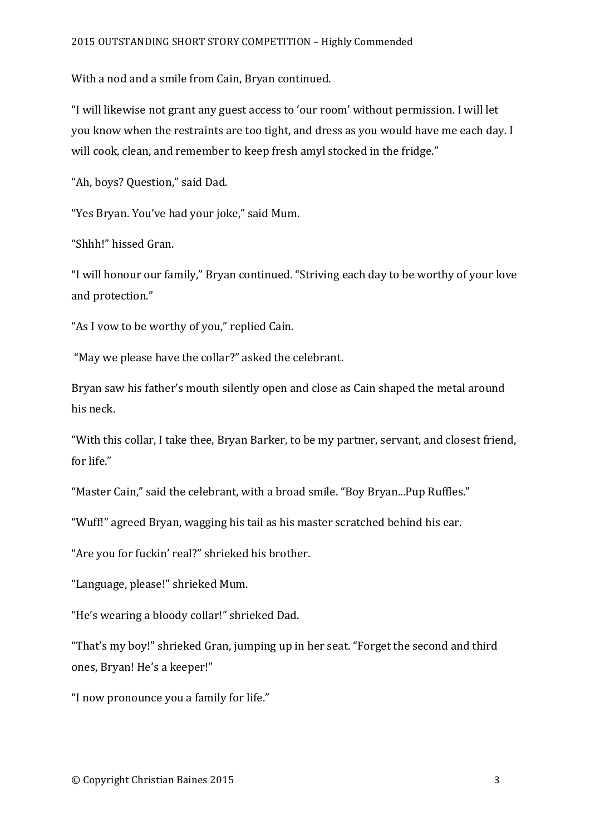With a nod and a smile from Cain, Bryan continued.

"I will likewise not grant any guest access to 'our room' without permission. I will let you know when the restraints are too tight, and dress as you would have me each day. I will cook, clean, and remember to keep fresh amyl stocked in the fridge."

"Ah, boys? Ouestion," said Dad.

"Yes Bryan. You've had your joke," said Mum.

"Shhh!" hissed Gran.

"I will honour our family," Bryan continued. "Striving each day to be worthy of your love and protection."

"As I vow to be worthy of you," replied Cain.

"May we please have the collar?" asked the celebrant.

Bryan saw his father's mouth silently open and close as Cain shaped the metal around his neck.

"With this collar, I take thee, Bryan Barker, to be my partner, servant, and closest friend, for life."

"Master Cain," said the celebrant, with a broad smile. "Boy Bryan...Pup Ruffles."

"Wuff!" agreed Bryan, wagging his tail as his master scratched behind his ear.

"Are you for fuckin' real?" shrieked his brother.

"Language, please!" shrieked Mum.

"He's wearing a bloody collar!" shrieked Dad.

"That's my boy!" shrieked Gran, jumping up in her seat. "Forget the second and third ones, Bryan! He's a keeper!"

"I now pronounce you a family for life."